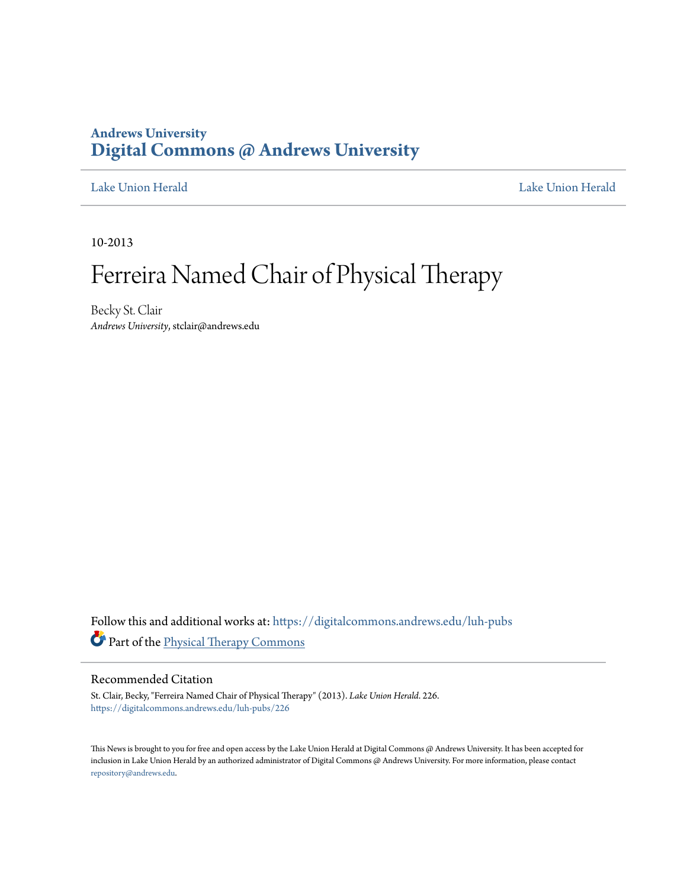### **Andrews University [Digital Commons @ Andrews University](https://digitalcommons.andrews.edu?utm_source=digitalcommons.andrews.edu%2Fluh-pubs%2F226&utm_medium=PDF&utm_campaign=PDFCoverPages)**

[Lake Union Herald](https://digitalcommons.andrews.edu/luh-pubs?utm_source=digitalcommons.andrews.edu%2Fluh-pubs%2F226&utm_medium=PDF&utm_campaign=PDFCoverPages) [Lake Union Herald](https://digitalcommons.andrews.edu/luh?utm_source=digitalcommons.andrews.edu%2Fluh-pubs%2F226&utm_medium=PDF&utm_campaign=PDFCoverPages)

10-2013

# Ferreira Named Chair of Physical Therapy

Becky St. Clair *Andrews University*, stclair@andrews.edu

Follow this and additional works at: [https://digitalcommons.andrews.edu/luh-pubs](https://digitalcommons.andrews.edu/luh-pubs?utm_source=digitalcommons.andrews.edu%2Fluh-pubs%2F226&utm_medium=PDF&utm_campaign=PDFCoverPages) Part of the [Physical Therapy Commons](http://network.bepress.com/hgg/discipline/754?utm_source=digitalcommons.andrews.edu%2Fluh-pubs%2F226&utm_medium=PDF&utm_campaign=PDFCoverPages)

### Recommended Citation

St. Clair, Becky, "Ferreira Named Chair of Physical Therapy" (2013). *Lake Union Herald*. 226. [https://digitalcommons.andrews.edu/luh-pubs/226](https://digitalcommons.andrews.edu/luh-pubs/226?utm_source=digitalcommons.andrews.edu%2Fluh-pubs%2F226&utm_medium=PDF&utm_campaign=PDFCoverPages)

This News is brought to you for free and open access by the Lake Union Herald at Digital Commons @ Andrews University. It has been accepted for inclusion in Lake Union Herald by an authorized administrator of Digital Commons @ Andrews University. For more information, please contact [repository@andrews.edu](mailto:repository@andrews.edu).